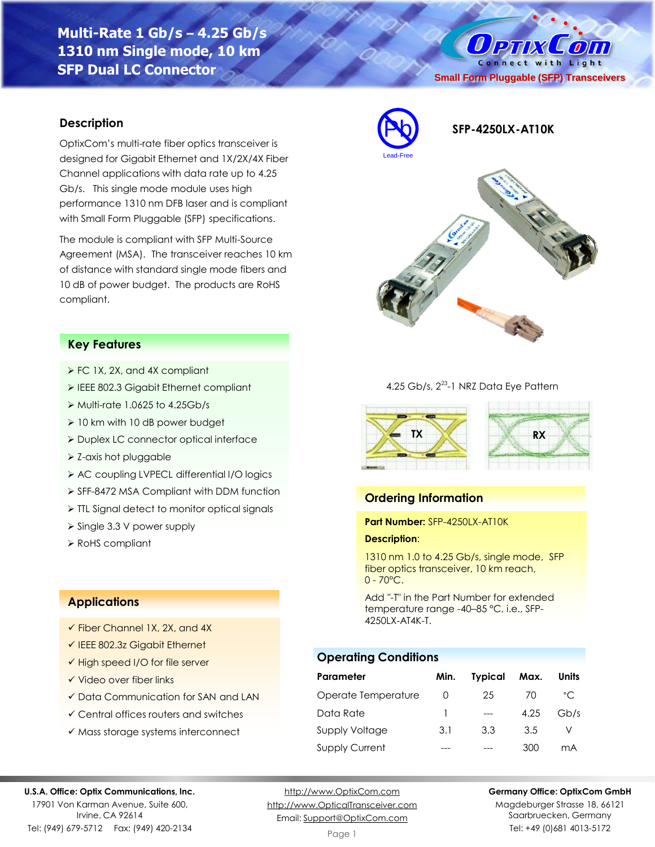# **Multi-Rate 1 Gb/s – 4.25 Gb/s 1310 nm Single mode, 10 km SFP Dual LC Connector**

# O PTIX COM Connect with Light **Small Form Pluggable (SFP) Transceivers**

### **Description**

OptixCom's multi-rate fiber optics transceiver is designed for Gigabit Ethernet and 1X/2X/4X Fiber Channel applications with data rate up to 4.25 Gb/s. This single mode module uses high performance 1310 nm DFB laser and is compliant with Small Form Pluggable (SFP) specifications.

The module is compliant with SFP Multi-Source Agreement (MSA). The transceiver reaches 10 km of distance with standard single mode fibers and 10 dB of power budget. The products are RoHS compliant.

### **Key Features**

- ➢ FC 1X, 2X, and 4X compliant
- ➢ IEEE 802.3 Gigabit Ethernet compliant
- $\triangleright$  Multi-rate 1.0625 to 4.25Gb/s
- ➢ 10 km with 10 dB power budget
- ➢ Duplex LC connector optical interface
- ➢ Z-axis hot pluggable
- ➢ AC coupling LVPECL differential I/O logics
- ➢ SFF-8472 MSA Compliant with DDM function
- ➢ TTL Signal detect to monitor optical signals
- ➢ Single 3.3 V power supply
- ➢ RoHS compliant

## **Applications**

- $\checkmark$  Fiber Channel 1X, 2X, and 4X
- ✓ IEEE 802.3z Gigabit Ethernet
- ✓ High speed I/O for file server
- ✓ Video over fiber links
- ✓ Data Communication for SAN and LAN
- ✓ Central offices routers and switches
- ✓ Mass storage systems interconnect



**SFP-4250LX-AT10K**



#### 4.25 Gb/s, 2<sup>23</sup>-1 NRZ Data Eye Pattern



### **Ordering Information**

#### **Part Number:** SFP-4250LX-AT10K

#### **Description**:

1310 nm 1.0 to 4.25 Gb/s, single mode, SFP fiber optics transceiver, 10 km reach,  $0 - 70^{\circ}$ C.

Add "-T" in the Part Number for extended temperature range -40–85 °C, i.e., SFP-4250LX-AT4K-T.

### **Operating Conditions**

| Parameter             | Min.             | <b>Typical</b> | Max. | Units        |
|-----------------------|------------------|----------------|------|--------------|
| Operate Temperature   | $\left( \right)$ | 25             | 70   | $^{\circ}$ C |
| Data Rate             |                  |                | 4.25 | Gb/s         |
| Supply Voltage        | 3.1              | 3.3            | 3.5  |              |
| <b>Supply Current</b> |                  |                | 300  | mА           |

#### **U.S.A. Office: Optix Communications, Inc.**

17901 Von Karman Avenue, Suite 600, Irvine, CA 92614 Tel: (949) 679-5712 Fax: (949) 420-2134

[http://www.OptixCom.com](http://www.optixcom.com/) [http://www.OpticalTransceiver.com](http://www.optoictech.com/) Email: [Support@OptixCom.com](mailto:Support@optoICtech.com)

#### **Germany Office: OptixCom GmbH**

Magdeburger Strasse 18, 66121 Saarbruecken, Germany Tel: +49 (0)681 4013-5172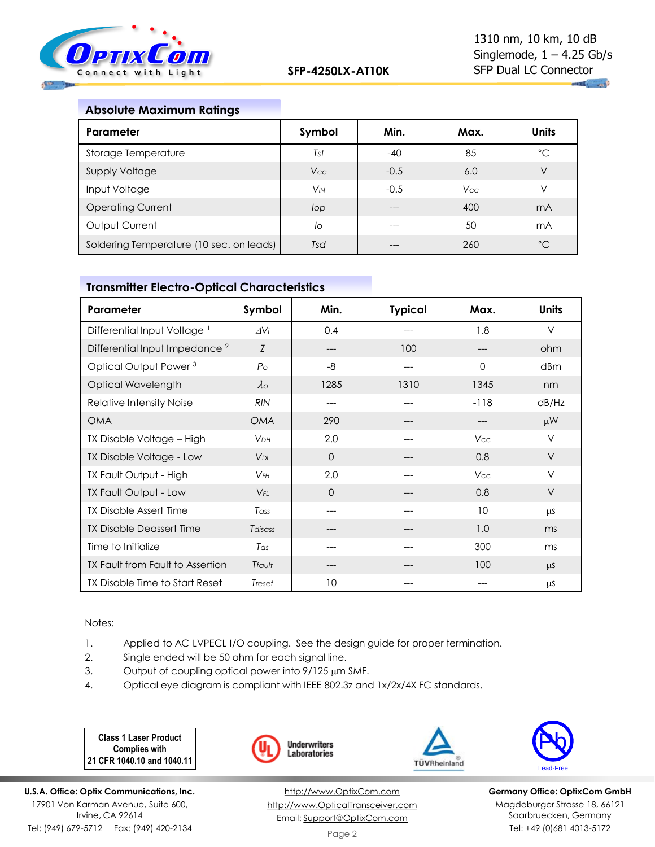

## **Absolute Maximum Ratings**

| Parameter                                | Symbol                | Min.   | Max.       | <b>Units</b> |
|------------------------------------------|-----------------------|--------|------------|--------------|
| Storage Temperature                      | Tst                   | $-40$  | 85         | °C           |
| <b>Supply Voltage</b>                    | Vcc                   | $-0.5$ | 6.0        | V            |
| Input Voltage                            | <b>V<sub>IN</sub></b> | $-0.5$ | <b>Vcc</b> | V            |
| <b>Operating Current</b>                 | lop                   |        | 400        | mA           |
| Output Current                           | lo                    | ---    | 50         | mA           |
| Soldering Temperature (10 sec. on leads) | Tsd                   |        | 260        | $^{\circ}$ C |

## **Transmitter Electro-Optical Characteristics**

| Parameter                                 | Symbol                | Min.     | <b>Typical</b> | Max.     | <b>Units</b> |
|-------------------------------------------|-----------------------|----------|----------------|----------|--------------|
| Differential Input Voltage <sup>1</sup>   | $\Delta V$ i          | 0.4      |                | 1.8      | $\vee$       |
| Differential Input Impedance <sup>2</sup> | Z                     | ---      | 100            | ---      | ohm          |
| Optical Output Power <sup>3</sup>         | P <sub>O</sub>        | -8       | ---            | $\Omega$ | dBm          |
| Optical Wavelength                        | $\lambda$             | 1285     | 1310           | 1345     | nm           |
| Relative Intensity Noise                  | <b>RIN</b>            | $---$    |                | $-118$   | dB/Hz        |
| <b>OMA</b>                                | <b>OMA</b>            | 290      | $---$          | ---      | $\mu$ W      |
| TX Disable Voltage - High                 | <b>VDH</b>            | 2.0      | $---$          | Vcc      | $\vee$       |
| TX Disable Voltage - Low                  | <b>V<sub>DL</sub></b> | $\Omega$ |                | 0.8      | $\vee$       |
| TX Fault Output - High                    | $V$ FH                | 2.0      |                | Vcc      | $\vee$       |
| TX Fault Output - Low                     | $V_{FL}$              | $\Omega$ |                | 0.8      | $\vee$       |
| <b>TX Disable Assert Time</b>             | Tass                  | ---      |                | 10       | μS           |
| <b>TX Disable Deassert Time</b>           | Tdisass               |          |                | 1.0      | ms           |
| Time to Initialize                        | Tas                   | ---      |                | 300      | ms           |
| TX Fault from Fault to Assertion          | Tfault                | ---      |                | 100      | μS           |
| TX Disable Time to Start Reset            | Treset                | 10       |                |          | μS           |

Notes:

- 1. Applied to AC LVPECL I/O coupling. See the design guide for proper termination.
- 2. Single ended will be 50 ohm for each signal line.
- 3. Output of coupling optical power into  $9/125 \mu m$  SMF.
- 4. Optical eye diagram is compliant with IEEE 802.3z and 1x/2x/4X FC standards.

**Class 1 Laser Product Complies with 21 CFR 1040.10 and 1040.11**

**U.S.A. Office: Optix Communications, Inc.** 17901 Von Karman Avenue, Suite 600, Irvine, CA 92614 Tel: (949) 679-5712 Fax: (949) 420-2134



[http://www.OptixCom.com](http://www.optixcom.com/) [http://www.OpticalTransceiver.com](http://www.optoictech.com/) Email: [Support@OptixCom.com](mailto:Support@optoICtech.com)



TÜVRheinland

**Germany Office: OptixCom GmbH** Magdeburger Strasse 18, 66121 Saarbruecken, Germany Tel: +49 (0)681 4013-5172